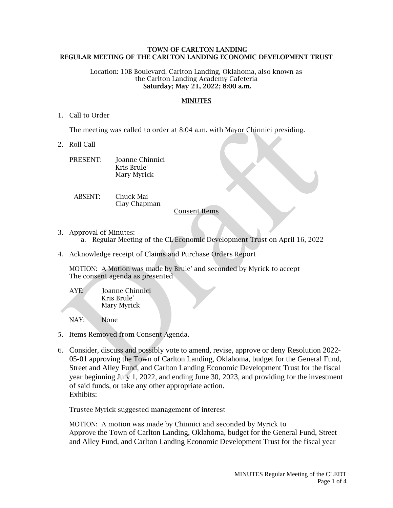## **TOWN OF CARLTON LANDING REGULAR MEETING OF THE CARLTON LANDING ECONOMIC DEVELOPMENT TRUST**

Location: 10B Boulevard, Carlton Landing, Oklahoma, also known as the Carlton Landing Academy Cafeteria **Saturday; May 21, 2022; 8:00 a.m.**

## **MINUTES**

1. Call to Order

The meeting was called to order at 8:04 a.m. with Mayor Chinnici presiding.

2. Roll Call

| PRESENT: | Joanne Chinnici |
|----------|-----------------|
|          | Kris Brule'     |
|          | Mary Myrick     |

ABSENT: Chuck Mai Clay Chapman

Consent Items

- 3. Approval of Minutes:
	- a. Regular Meeting of the CL Economic Development Trust on April 16, 2022
- 4. Acknowledge receipt of Claims and Purchase Orders Report

MOTION: A Motion was made by Brule' and seconded by Myrick to accept The consent agenda as presented

AYE: Joanne Chinnici Kris Brule' Mary Myrick

NAY: None

- 5. Items Removed from Consent Agenda.
- 6. Consider, discuss and possibly vote to amend, revise, approve or deny Resolution 2022- 05-01 approving the Town of Carlton Landing, Oklahoma, budget for the General Fund, Street and Alley Fund, and Carlton Landing Economic Development Trust for the fiscal year beginning July 1, 2022, and ending June 30, 2023, and providing for the investment of said funds, or take any other appropriate action. Exhibits:

Trustee Myrick suggested management of interest

MOTION: A motion was made by Chinnici and seconded by Myrick to Approve the Town of Carlton Landing, Oklahoma, budget for the General Fund, Street and Alley Fund, and Carlton Landing Economic Development Trust for the fiscal year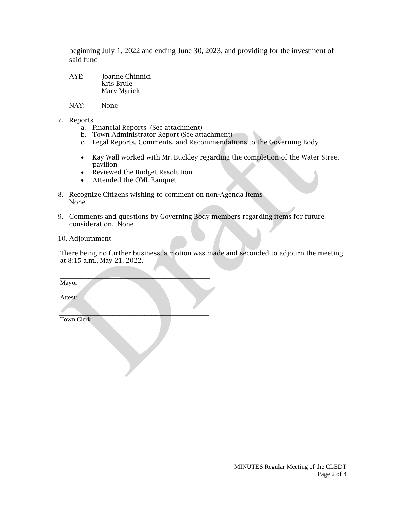beginning July 1, 2022 and ending June 30, 2023, and providing for the investment of said fund

- AYE: Joanne Chinnici Kris Brule' Mary Myrick
- NAY: None
- 7. Reports
	- a. Financial Reports (See attachment)
	- b. Town Administrator Report (See attachment)
	- c. Legal Reports, Comments, and Recommendations to the Governing Body
	- Kay Wall worked with Mr. Buckley regarding the completion of the Water Street pavilion
	- Reviewed the Budget Resolution

 $\mathcal{L}=\mathcal{L}=\mathcal{L}=\mathcal{L}=\mathcal{L}=\mathcal{L}=\mathcal{L}=\mathcal{L}=\mathcal{L}=\mathcal{L}=\mathcal{L}=\mathcal{L}=\mathcal{L}=\mathcal{L}=\mathcal{L}=\mathcal{L}=\mathcal{L}=\mathcal{L}=\mathcal{L}=\mathcal{L}=\mathcal{L}=\mathcal{L}=\mathcal{L}=\mathcal{L}=\mathcal{L}=\mathcal{L}=\mathcal{L}=\mathcal{L}=\mathcal{L}=\mathcal{L}=\mathcal{L}=\mathcal{L}=\mathcal{L}=\mathcal{L}=\mathcal{L}=\mathcal{L}=\mathcal{$ 

- Attended the OML Banquet
- 8. Recognize Citizens wishing to comment on non-Agenda Items None
- 9. Comments and questions by Governing Body members regarding items for future consideration. None
- 10. Adjournment

There being no further business, a motion was made and seconded to adjourn the meeting at 8:15 a.m., May 21, 2022.

Mayor

Attest:

 $\mathcal{L}=\mathcal{L}=\mathcal{L}=\mathcal{L}=\mathcal{L}=\mathcal{L}=\mathcal{L}=\mathcal{L}=\mathcal{L}=\mathcal{L}=\mathcal{L}=\mathcal{L}=\mathcal{L}=\mathcal{L}=\mathcal{L}=\mathcal{L}=\mathcal{L}=\mathcal{L}=\mathcal{L}=\mathcal{L}=\mathcal{L}=\mathcal{L}=\mathcal{L}=\mathcal{L}=\mathcal{L}=\mathcal{L}=\mathcal{L}=\mathcal{L}=\mathcal{L}=\mathcal{L}=\mathcal{L}=\mathcal{L}=\mathcal{L}=\mathcal{L}=\mathcal{L}=\mathcal{L}=\mathcal{$ Town Clerk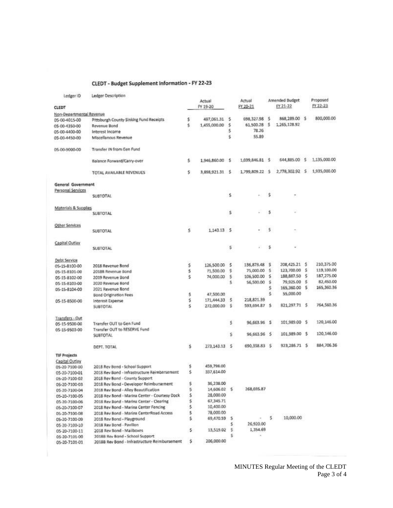## CLEDT - Budget Supplement Information - FY 22-23

| Ledger ID                      | Ledger Description                            |    |                 |    |                     |        |                |    |                              |
|--------------------------------|-----------------------------------------------|----|-----------------|----|---------------------|--------|----------------|----|------------------------------|
|                                |                                               |    | Actual          |    | Actual              |        | Amended Budget |    | Proposed                     |
| CLEDT                          |                                               |    | FY 19-20        |    | FY 20-21            |        | FY 21-22       |    | FY 22-23                     |
| Non-Departmental Revenue       |                                               |    |                 |    |                     |        |                |    |                              |
| 05-00-4015-00                  | Pittsburgh County Sinking Fund Receipts       | \$ | 497,061.31      | ుక | 698,327.98 \$       |        | 868,289.00 \$  |    | 800,000.00                   |
| 05-00-4350-00                  | Revenue Bond                                  | ŝ  | 1,455,000.00    | s  | 61,500.28           | ుక     | 1,265,128.92   |    |                              |
| 05-00-4400-00                  | Interest Income                               |    |                 | \$ | 78.26               |        |                |    |                              |
| 05-00-4450-00                  | Miscellanous Revenue                          |    |                 | Ś  | 55.89               |        |                |    |                              |
|                                |                                               |    |                 |    |                     |        |                |    |                              |
| 05-00-9000-00                  | Transfer IN from Gen Fund                     |    |                 |    |                     |        |                |    |                              |
|                                | Balance Forward/Carry-over                    | Ś. | 1,946,860.00 \$ |    | 1.039.846.81 \$     |        | 644,885.00 \$  |    | 1,135,000.00                 |
|                                | TOTAL AVAILABLE REVENUES                      | s. | 3,898,921.31 \$ |    | 1,799,809.22 \$     |        |                |    | 2,778,302.92 \$ 1,935,000.00 |
| <b>General Government</b>      |                                               |    |                 |    |                     |        |                |    |                              |
| Personal Services              |                                               |    |                 |    |                     |        |                |    |                              |
|                                | <b>SUBTOTAL</b>                               |    |                 | \$ | $\omega_{\rm{eff}}$ | s      | ۰              |    |                              |
| Materials & Supplies           |                                               |    |                 |    |                     |        |                |    |                              |
|                                | <b>SUBTOTAL</b>                               |    |                 | \$ |                     | 5      |                |    |                              |
| Other Services                 |                                               |    |                 |    |                     |        |                |    |                              |
|                                | SUBTOTAL                                      | Ŝ. | 1.143.13 \$     |    |                     | s      |                |    |                              |
| Capital Outlay                 |                                               |    |                 |    |                     |        |                |    |                              |
|                                | <b>SUBTOTAL</b>                               |    |                 | s  |                     | s      |                |    |                              |
| Debt Service                   |                                               |    |                 |    |                     |        |                |    |                              |
| 05-15-8100-00                  | 2018 Revenue Bond                             | \$ | 126,500.00      | s  | 136,873.48          | \$     | 208,425.21 \$  |    | 210,375.00                   |
| 05-15-8101-00                  | 20188 Revenue Bond                            | š. | 71,500.00       | s  | 75,000.00           | s      | 123,700.00     | -5 | 119,100.00                   |
|                                | 2019 Revenue Bond                             | Ś. | 74,000.00       | \$ | 106,500.00          | \$     | 188,887.50     | s  | 187,275.00                   |
| 05-15-8102-00<br>05-15-8103-00 | 2020 Revenue Bond                             |    |                 | \$ | \$6,500.00          | s      | 79,925.00      | s  | 82,450.00                    |
|                                |                                               |    |                 |    |                     | \$     | 165,360.00 \$  |    | 165,360.36                   |
| 05-15-8104-00                  | 2021 Revenue Bond                             | \$ | 47,500.00       |    |                     | Ś.     | 55,000.00      |    |                              |
|                                | Bond Origination Fees                         | \$ | 171,444.33      | s  | 218,821.39          |        |                |    |                              |
| 05-15-8500-00                  | Interest Expense<br><b>SUBTOTAL</b>           | Ś  | 272,000.00      | s  | 593,694.87          | - 5    | 821,297.71 \$  |    | 764,560.36                   |
|                                |                                               |    |                 |    |                     |        |                |    |                              |
| Transfers - Out                |                                               |    |                 |    |                     |        |                |    |                              |
| 05-15-9500-00                  | Transfer OUT to Gen Fund                      |    |                 | \$ | 96,663.96           | - 5    | 101,989.00 \$  |    | 120,146.00                   |
| 05-15-9503-00                  | Transfer OUT to RESERVE Fund                  |    |                 |    |                     |        |                |    |                              |
|                                | <b>SUBTOTAL</b>                               |    |                 | \$ | 96,663.96           | $\sim$ | 101,989.00 \$  |    | 120,146.00                   |
|                                | DEPT. TOTAL                                   | Ś  | 273.143.13 \$   |    | 690,358.83          | -S     | 923,286.71 \$  |    | 884,706.36                   |
| <b>TIF Projects</b>            |                                               |    |                 |    |                     |        |                |    |                              |
| Capital Outlay                 |                                               |    |                 |    |                     |        |                |    |                              |
| 05-20-7100-00                  | 2018 Rev Bond - School Support                | \$ | 459,798.00      |    |                     |        |                |    |                              |
| 05-20-7100-01                  | 2018 Rev Bond - Infrastructure Reimbersement  | Ś  | 337,614.00      |    |                     |        |                |    |                              |
| 05-20-7100-02                  | 2018 Rev Bond - County Support                |    |                 |    |                     |        |                |    |                              |
| 05-20-7100-03                  | 2018 Rev Bond - Developer Reimbursement       | s  | 36,238.00       |    |                     |        |                |    |                              |
| 05-20-7100-04                  | 2018 Rev Bond - Alley Beautification          | s  | 14,606.02 \$    |    | 268,035.87          |        |                |    |                              |
|                                | 2018 Rev Bond - Marina Center - Courtesy Dock | \$ | 28,000.00       |    |                     |        |                |    |                              |
| 05-20-7100-05                  | 2018 Rev Bond - Marina Center - Clearing      | \$ | 67,345.71       |    |                     |        |                |    |                              |
| 05-20-7100-06                  | 2018 Rev Bond - Marina Center Fencing         | \$ | 10,400.00       |    |                     |        |                |    |                              |
| 05-20-7100-07                  |                                               |    |                 |    |                     |        |                |    |                              |
| 05-20-7100-08                  | 2018 Rev Bond - Marina CenterRoad Access      | \$ | 78,000.00       |    |                     | s.     | 10,000.00      |    |                              |
| 05-20-7100-09                  | 2018 Rev Bond - Playground                    | \$ | 69,470.59       | 5  |                     |        |                |    |                              |
| 05-20-7100-10                  | 2018 Rev Bond - Pavilion                      |    |                 | 5  | 26,920.00           |        |                |    |                              |
| 05-20-7100-11                  | 2018 Rev Bond - Mailboxes                     | \$ | 13,519.02       | s  | 1,354.69            |        |                |    |                              |
| 05-20-7101-00                  | 20188 Rev Bond - School Support               |    |                 | s  | ä.                  |        |                |    |                              |
| 05-20-7101-01                  | 2018B Rev Bond - Infrastructure Reimbursement | \$ | 206,000.00      |    |                     |        |                |    |                              |